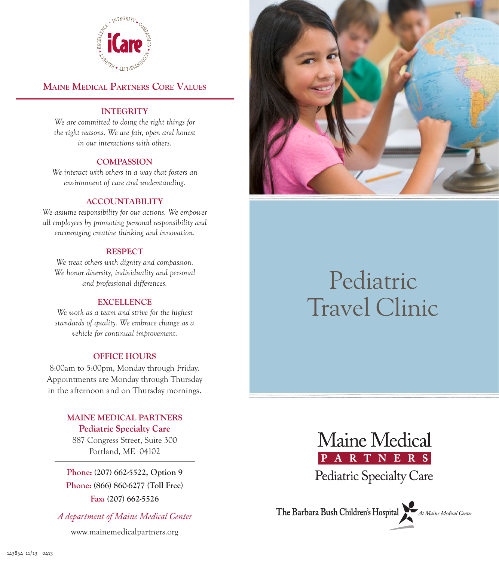

### **Maine Medical Partners Core Values**

### **INTEGRITY**

*We are committed to doing the right things for the right reasons. We are fair, open and honest in our interactions with others.*

### **COMPASSION**

*We interact with others in a way that fosters an environment of care and understanding.*

### **ACCOUNTABILITY**

*We assume responsibility for our actions. We empower all employees by promoting personal responsibility and encouraging creative thinking and innovation.*

#### **RESPECT**

*We treat others with dignity and compassion. We honor diversity, individuality and personal and professional differences.*

#### **EXCELLENCE**

*We work as a team and strive for the highest standards of quality. We embrace change as a vehicle for continual improvement.*

### **OFFICE HOURS**

8:00am to 5:00pm, Monday through Friday. Appointments are Monday through Thursday in the afternoon and on Thursday mornings.

### **MAINE MEDICAL PARTNERS Pediatric Specialty Care**

887 Congress Street, Suite 300 Portland, ME 04102

**Phone: (207) 662-5522, Option 9 Phone: (866) 860-6277 (Toll Free) Fax: (207) 662-5526**

*A department of Maine Medical Center* 

www.mainemedicalpartners.org



# Pediatric Travel Clinic



The Barbara Bush Children's Hospital At Maine Medical Center